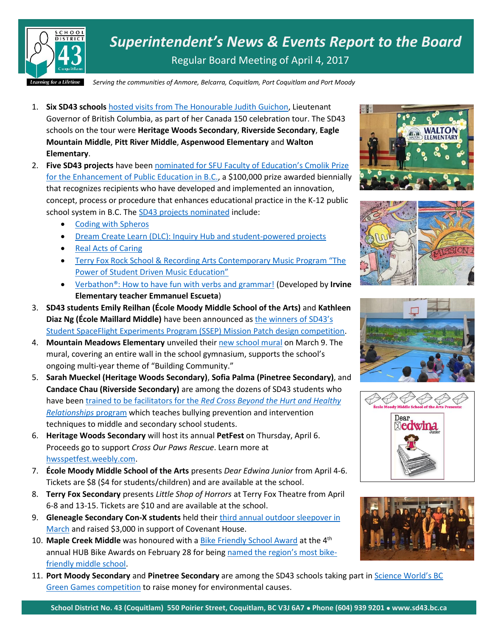

*Superintendent's News & Events Report to the Board* Regular Board Meeting of April 4, 2017

*Serving the communities of Anmore, Belcarra, Coquitlam, Port Coquitlam and Port Moody*

- 1. **Six SD43 schools** hosted visits [from The Honourable Judith Guichon,](https://www.sd43.bc.ca/Pages/newsitem.aspx?ItemID=112&ListID=c4134e88-bc0d-484f-9d4d-93c69db7f94f&TemplateID=Announcement_Item) Lieutenant Governor of British Columbia, as part of her Canada 150 celebration tour. The SD43 schools on the tour were **Heritage Woods Secondary**, **Riverside Secondary**, **Eagle Mountain Middle**, **Pitt River Middle**, **Aspenwood Elementary** and **Walton Elementary**.
- 2. **Five SD43 projects** have been [nominated for SFU Faculty of Education's Cmolik](http://www.sfu.ca/education/cmolik-prize/shortlist-and-nominees/2017-nominees.html) Prize [for the Enhancement of Public Education in B.C.](http://www.sfu.ca/education/cmolik-prize/shortlist-and-nominees/2017-nominees.html), a \$100,000 prize awarded biennially that recognizes recipients who have developed and implemented an innovation, concept, process or procedure that enhances educational practice in the K-12 public school system in B.C. Th[e SD43 projects nominated](https://www.sfu.ca/education/cmolik-prize/shortlist-and-nominees/2017-nominees.html) include:
	- [Coding with Spheros](https://www.sd43.bc.ca/Pages/cmolikprize.aspx)
	- [Dream Create Learn \(DLC\): Inquiry Hub and student-powered projects](http://www.inquiryhub.org/)
	- [Real Acts of Caring](http://www.realactsofcaring.org/)
	- [Terry Fox Rock School & Recording Arts Contemporary M](http://www.rockthefox.ca/)usic Program "The [Power of Student Driven Music Education"](http://www.rockthefox.ca/)
	- [Verbathon®: How to have fun with verbs and grammar!](http://www.verbathon.com/) (Developed by **Irvine Elementary teacher Emmanuel Escueta**)
- 3. **SD43 students Emily Reilhan (École Moody Middle School of the Arts)** and **Kathleen Diaz Ng (École Maillard Middle)** have been announced as [the winners of](http://www.sd43.bc.ca/Pages/newsitem.aspx?ItemID=113&ListID=c4134e88-bc0d-484f-9d4d-93c69db7f94f&TemplateID=Announcement_Item) SD43's [Student SpaceFlight Experiments Program \(SSEP\) Mission Patch design competition.](http://www.sd43.bc.ca/Pages/newsitem.aspx?ItemID=113&ListID=c4134e88-bc0d-484f-9d4d-93c69db7f94f&TemplateID=Announcement_Item)
- 4. **Mountain Meadows Elementary** unveiled their [new school mural](http://www.sd43.bc.ca/Pages/newsitem.aspx?ItemID=111&ListID=c4134e88-bc0d-484f-9d4d-93c69db7f94f&TemplateID=Announcement_Item) on March 9. The mural, covering an entire wall in the school gymnasium, supports the school's ongoing multi-year theme of "Building Community."
- 5. **Sarah Mueckel (Heritage Woods Secondary)**, **Sofia Palma (Pinetree Secondary)**, and **Candace Chau (Riverside Secondary)** are among the dozens of SD43 students who have been trained to be facilitators for the *[Red Cross Beyond the Hurt and Healthy](http://www.tricitynews.com/community/tri-city-students-going-beyond-the-hurt-1.11512107)  [Relationships](http://www.tricitynews.com/community/tri-city-students-going-beyond-the-hurt-1.11512107)* program which teaches bullying prevention and intervention techniques to middle and secondary school students.
- 6. **Heritage Woods Secondary** will host its annual **PetFest** on Thursday, April 6. Proceeds go to support *Cross Our Paws Rescue*. Learn more at [hwsspetfest.weebly.com.](http://hwsspetfest.weebly.com/)
- 7. **École Moody Middle School of the Arts** presents *Dear Edwina Junior* from April 4-6. Tickets are \$8 (\$4 for students/children) and are available at the school.
- 8. **Terry Fox Secondary** presents *Little Shop of Horrors* at Terry Fox Theatre from April 6-8 and 13-15. Tickets are \$10 and are available at the school.
- 9. **Gleneagle Secondary Con-X students** held thei[r third annual outdoor sleepover in](http://www.tricitynews.com/news/coquitlam-high-school-camps-out-for-covenant-house-1.11487070)  [March](http://www.tricitynews.com/news/coquitlam-high-school-camps-out-for-covenant-house-1.11487070) and raised \$3,000 in support of Covenant House.
- 10. **Maple Creek Middle** was honoured with a [Bike Friendly School Award](http://www.tricitynews.com/community/spotlight-tech-cash-from-friends-of-coquitlam-public-library-society-1.10728306) at the 4th annual HUB Bike Awards on February 28 for being [named the region's most bike](http://www.tricitynews.com/community/bikes-not-parents-get-kids-to-port-coquitlam-school-1.11195014)[friendly middle school.](http://www.tricitynews.com/community/bikes-not-parents-get-kids-to-port-coquitlam-school-1.11195014)
- 11. **Port Moody Secondary** and **Pinetree Secondary** are among the SD43 schools taking part in [Science World's BC](http://www.tricitynews.com/community/spotlight-tech-cash-from-friends-of-coquitlam-public-library-society-1.10728306)  [Green Games competition](http://www.tricitynews.com/community/spotlight-tech-cash-from-friends-of-coquitlam-public-library-society-1.10728306) to raise money for environmental causes.